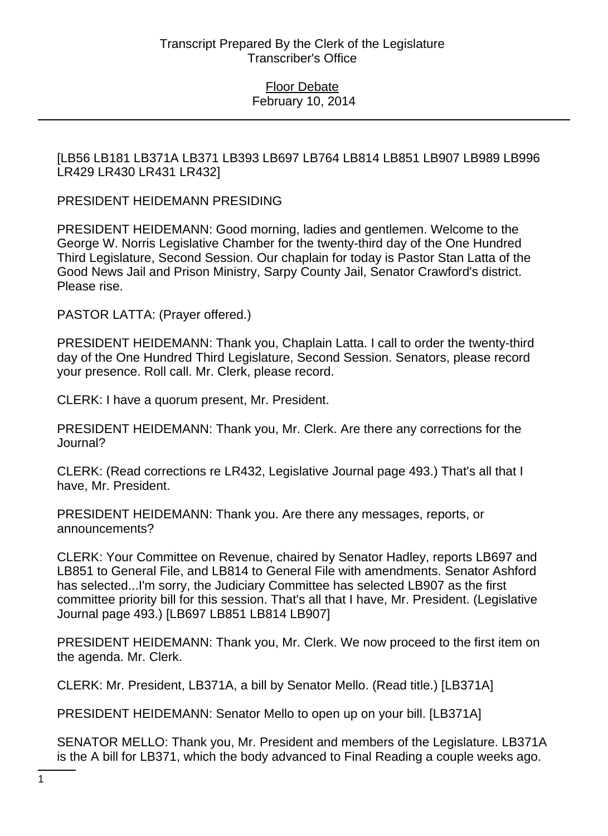[LB56 LB181 LB371A LB371 LB393 LB697 LB764 LB814 LB851 LB907 LB989 LB996 LR429 LR430 LR431 LR432]

PRESIDENT HEIDEMANN PRESIDING

PRESIDENT HEIDEMANN: Good morning, ladies and gentlemen. Welcome to the George W. Norris Legislative Chamber for the twenty-third day of the One Hundred Third Legislature, Second Session. Our chaplain for today is Pastor Stan Latta of the Good News Jail and Prison Ministry, Sarpy County Jail, Senator Crawford's district. Please rise.

PASTOR LATTA: (Prayer offered.)

PRESIDENT HEIDEMANN: Thank you, Chaplain Latta. I call to order the twenty-third day of the One Hundred Third Legislature, Second Session. Senators, please record your presence. Roll call. Mr. Clerk, please record.

CLERK: I have a quorum present, Mr. President.

PRESIDENT HEIDEMANN: Thank you, Mr. Clerk. Are there any corrections for the Journal?

CLERK: (Read corrections re LR432, Legislative Journal page 493.) That's all that I have, Mr. President.

PRESIDENT HEIDEMANN: Thank you. Are there any messages, reports, or announcements?

CLERK: Your Committee on Revenue, chaired by Senator Hadley, reports LB697 and LB851 to General File, and LB814 to General File with amendments. Senator Ashford has selected...I'm sorry, the Judiciary Committee has selected LB907 as the first committee priority bill for this session. That's all that I have, Mr. President. (Legislative Journal page 493.) [LB697 LB851 LB814 LB907]

PRESIDENT HEIDEMANN: Thank you, Mr. Clerk. We now proceed to the first item on the agenda. Mr. Clerk.

CLERK: Mr. President, LB371A, a bill by Senator Mello. (Read title.) [LB371A]

PRESIDENT HEIDEMANN: Senator Mello to open up on your bill. [LB371A]

SENATOR MELLO: Thank you, Mr. President and members of the Legislature. LB371A is the A bill for LB371, which the body advanced to Final Reading a couple weeks ago.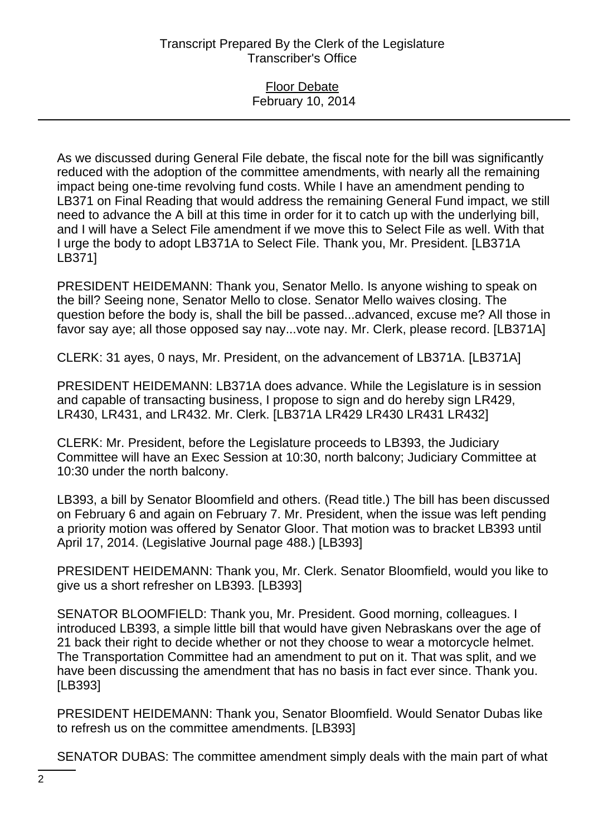#### Floor Debate February 10, 2014

As we discussed during General File debate, the fiscal note for the bill was significantly reduced with the adoption of the committee amendments, with nearly all the remaining impact being one-time revolving fund costs. While I have an amendment pending to LB371 on Final Reading that would address the remaining General Fund impact, we still need to advance the A bill at this time in order for it to catch up with the underlying bill, and I will have a Select File amendment if we move this to Select File as well. With that I urge the body to adopt LB371A to Select File. Thank you, Mr. President. [LB371A LB371]

PRESIDENT HEIDEMANN: Thank you, Senator Mello. Is anyone wishing to speak on the bill? Seeing none, Senator Mello to close. Senator Mello waives closing. The question before the body is, shall the bill be passed...advanced, excuse me? All those in favor say aye; all those opposed say nay...vote nay. Mr. Clerk, please record. [LB371A]

CLERK: 31 ayes, 0 nays, Mr. President, on the advancement of LB371A. [LB371A]

PRESIDENT HEIDEMANN: LB371A does advance. While the Legislature is in session and capable of transacting business, I propose to sign and do hereby sign LR429, LR430, LR431, and LR432. Mr. Clerk. [LB371A LR429 LR430 LR431 LR432]

CLERK: Mr. President, before the Legislature proceeds to LB393, the Judiciary Committee will have an Exec Session at 10:30, north balcony; Judiciary Committee at 10:30 under the north balcony.

LB393, a bill by Senator Bloomfield and others. (Read title.) The bill has been discussed on February 6 and again on February 7. Mr. President, when the issue was left pending a priority motion was offered by Senator Gloor. That motion was to bracket LB393 until April 17, 2014. (Legislative Journal page 488.) [LB393]

PRESIDENT HEIDEMANN: Thank you, Mr. Clerk. Senator Bloomfield, would you like to give us a short refresher on LB393. [LB393]

SENATOR BLOOMFIELD: Thank you, Mr. President. Good morning, colleagues. I introduced LB393, a simple little bill that would have given Nebraskans over the age of 21 back their right to decide whether or not they choose to wear a motorcycle helmet. The Transportation Committee had an amendment to put on it. That was split, and we have been discussing the amendment that has no basis in fact ever since. Thank you. [LB393]

PRESIDENT HEIDEMANN: Thank you, Senator Bloomfield. Would Senator Dubas like to refresh us on the committee amendments. [LB393]

SENATOR DUBAS: The committee amendment simply deals with the main part of what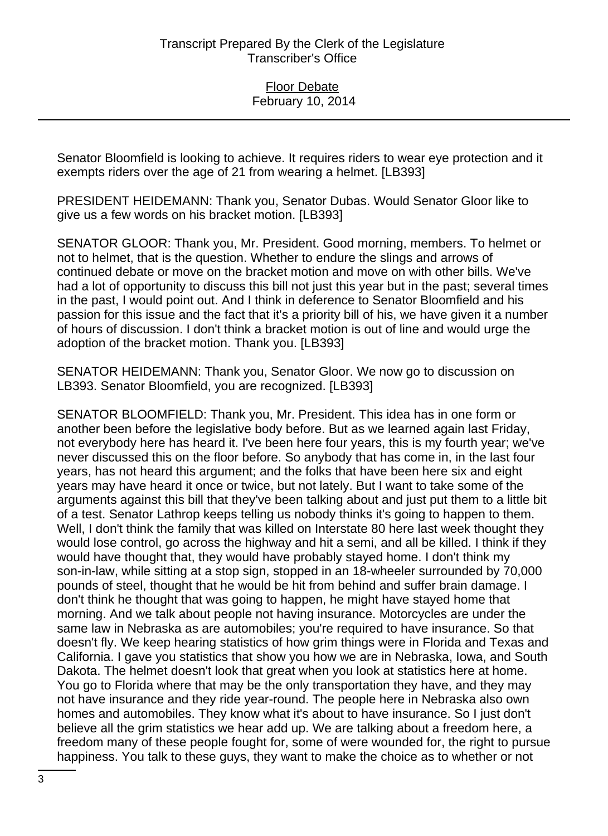Senator Bloomfield is looking to achieve. It requires riders to wear eye protection and it exempts riders over the age of 21 from wearing a helmet. [LB393]

PRESIDENT HEIDEMANN: Thank you, Senator Dubas. Would Senator Gloor like to give us a few words on his bracket motion. [LB393]

SENATOR GLOOR: Thank you, Mr. President. Good morning, members. To helmet or not to helmet, that is the question. Whether to endure the slings and arrows of continued debate or move on the bracket motion and move on with other bills. We've had a lot of opportunity to discuss this bill not just this year but in the past; several times in the past, I would point out. And I think in deference to Senator Bloomfield and his passion for this issue and the fact that it's a priority bill of his, we have given it a number of hours of discussion. I don't think a bracket motion is out of line and would urge the adoption of the bracket motion. Thank you. [LB393]

SENATOR HEIDEMANN: Thank you, Senator Gloor. We now go to discussion on LB393. Senator Bloomfield, you are recognized. [LB393]

SENATOR BLOOMFIELD: Thank you, Mr. President. This idea has in one form or another been before the legislative body before. But as we learned again last Friday, not everybody here has heard it. I've been here four years, this is my fourth year; we've never discussed this on the floor before. So anybody that has come in, in the last four years, has not heard this argument; and the folks that have been here six and eight years may have heard it once or twice, but not lately. But I want to take some of the arguments against this bill that they've been talking about and just put them to a little bit of a test. Senator Lathrop keeps telling us nobody thinks it's going to happen to them. Well, I don't think the family that was killed on Interstate 80 here last week thought they would lose control, go across the highway and hit a semi, and all be killed. I think if they would have thought that, they would have probably stayed home. I don't think my son-in-law, while sitting at a stop sign, stopped in an 18-wheeler surrounded by 70,000 pounds of steel, thought that he would be hit from behind and suffer brain damage. I don't think he thought that was going to happen, he might have stayed home that morning. And we talk about people not having insurance. Motorcycles are under the same law in Nebraska as are automobiles; you're required to have insurance. So that doesn't fly. We keep hearing statistics of how grim things were in Florida and Texas and California. I gave you statistics that show you how we are in Nebraska, Iowa, and South Dakota. The helmet doesn't look that great when you look at statistics here at home. You go to Florida where that may be the only transportation they have, and they may not have insurance and they ride year-round. The people here in Nebraska also own homes and automobiles. They know what it's about to have insurance. So I just don't believe all the grim statistics we hear add up. We are talking about a freedom here, a freedom many of these people fought for, some of were wounded for, the right to pursue happiness. You talk to these guys, they want to make the choice as to whether or not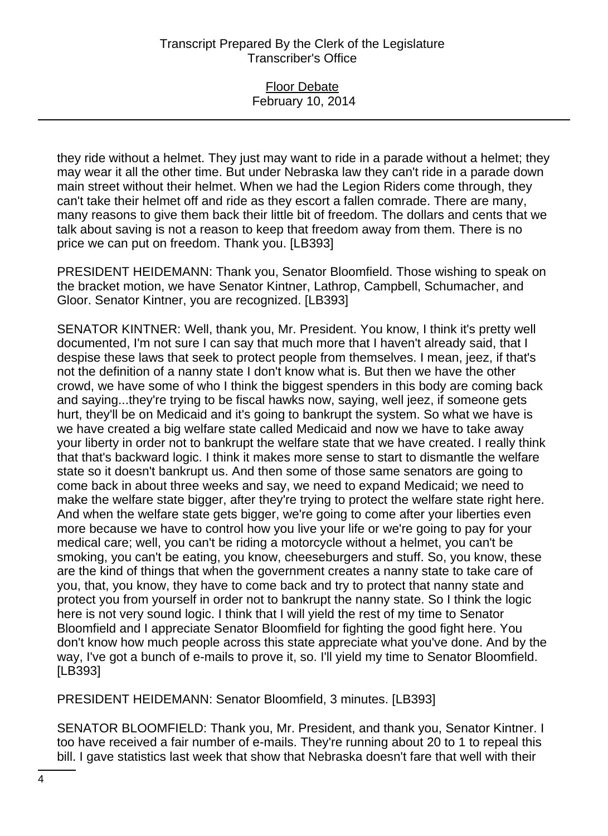#### Floor Debate February 10, 2014

they ride without a helmet. They just may want to ride in a parade without a helmet; they may wear it all the other time. But under Nebraska law they can't ride in a parade down main street without their helmet. When we had the Legion Riders come through, they can't take their helmet off and ride as they escort a fallen comrade. There are many, many reasons to give them back their little bit of freedom. The dollars and cents that we talk about saving is not a reason to keep that freedom away from them. There is no price we can put on freedom. Thank you. [LB393]

PRESIDENT HEIDEMANN: Thank you, Senator Bloomfield. Those wishing to speak on the bracket motion, we have Senator Kintner, Lathrop, Campbell, Schumacher, and Gloor. Senator Kintner, you are recognized. [LB393]

SENATOR KINTNER: Well, thank you, Mr. President. You know, I think it's pretty well documented, I'm not sure I can say that much more that I haven't already said, that I despise these laws that seek to protect people from themselves. I mean, jeez, if that's not the definition of a nanny state I don't know what is. But then we have the other crowd, we have some of who I think the biggest spenders in this body are coming back and saying...they're trying to be fiscal hawks now, saying, well jeez, if someone gets hurt, they'll be on Medicaid and it's going to bankrupt the system. So what we have is we have created a big welfare state called Medicaid and now we have to take away your liberty in order not to bankrupt the welfare state that we have created. I really think that that's backward logic. I think it makes more sense to start to dismantle the welfare state so it doesn't bankrupt us. And then some of those same senators are going to come back in about three weeks and say, we need to expand Medicaid; we need to make the welfare state bigger, after they're trying to protect the welfare state right here. And when the welfare state gets bigger, we're going to come after your liberties even more because we have to control how you live your life or we're going to pay for your medical care; well, you can't be riding a motorcycle without a helmet, you can't be smoking, you can't be eating, you know, cheeseburgers and stuff. So, you know, these are the kind of things that when the government creates a nanny state to take care of you, that, you know, they have to come back and try to protect that nanny state and protect you from yourself in order not to bankrupt the nanny state. So I think the logic here is not very sound logic. I think that I will yield the rest of my time to Senator Bloomfield and I appreciate Senator Bloomfield for fighting the good fight here. You don't know how much people across this state appreciate what you've done. And by the way, I've got a bunch of e-mails to prove it, so. I'll yield my time to Senator Bloomfield. [LB393]

PRESIDENT HEIDEMANN: Senator Bloomfield, 3 minutes. [LB393]

SENATOR BLOOMFIELD: Thank you, Mr. President, and thank you, Senator Kintner. I too have received a fair number of e-mails. They're running about 20 to 1 to repeal this bill. I gave statistics last week that show that Nebraska doesn't fare that well with their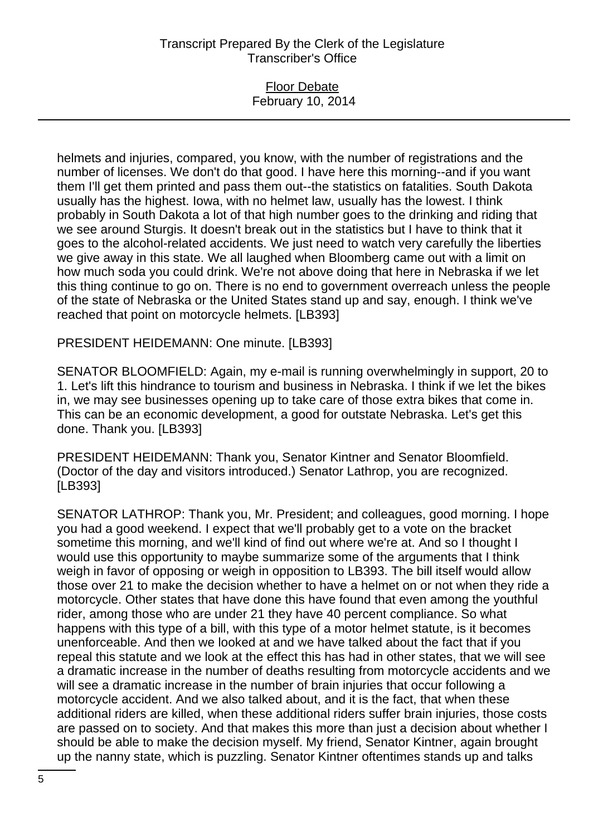### Floor Debate February 10, 2014

helmets and injuries, compared, you know, with the number of registrations and the number of licenses. We don't do that good. I have here this morning--and if you want them I'll get them printed and pass them out--the statistics on fatalities. South Dakota usually has the highest. Iowa, with no helmet law, usually has the lowest. I think probably in South Dakota a lot of that high number goes to the drinking and riding that we see around Sturgis. It doesn't break out in the statistics but I have to think that it goes to the alcohol-related accidents. We just need to watch very carefully the liberties we give away in this state. We all laughed when Bloomberg came out with a limit on how much soda you could drink. We're not above doing that here in Nebraska if we let this thing continue to go on. There is no end to government overreach unless the people of the state of Nebraska or the United States stand up and say, enough. I think we've reached that point on motorcycle helmets. [LB393]

PRESIDENT HEIDEMANN: One minute. [LB393]

SENATOR BLOOMFIELD: Again, my e-mail is running overwhelmingly in support, 20 to 1. Let's lift this hindrance to tourism and business in Nebraska. I think if we let the bikes in, we may see businesses opening up to take care of those extra bikes that come in. This can be an economic development, a good for outstate Nebraska. Let's get this done. Thank you. [LB393]

PRESIDENT HEIDEMANN: Thank you, Senator Kintner and Senator Bloomfield. (Doctor of the day and visitors introduced.) Senator Lathrop, you are recognized. [LB393]

SENATOR LATHROP: Thank you, Mr. President; and colleagues, good morning. I hope you had a good weekend. I expect that we'll probably get to a vote on the bracket sometime this morning, and we'll kind of find out where we're at. And so I thought I would use this opportunity to maybe summarize some of the arguments that I think weigh in favor of opposing or weigh in opposition to LB393. The bill itself would allow those over 21 to make the decision whether to have a helmet on or not when they ride a motorcycle. Other states that have done this have found that even among the youthful rider, among those who are under 21 they have 40 percent compliance. So what happens with this type of a bill, with this type of a motor helmet statute, is it becomes unenforceable. And then we looked at and we have talked about the fact that if you repeal this statute and we look at the effect this has had in other states, that we will see a dramatic increase in the number of deaths resulting from motorcycle accidents and we will see a dramatic increase in the number of brain injuries that occur following a motorcycle accident. And we also talked about, and it is the fact, that when these additional riders are killed, when these additional riders suffer brain injuries, those costs are passed on to society. And that makes this more than just a decision about whether I should be able to make the decision myself. My friend, Senator Kintner, again brought up the nanny state, which is puzzling. Senator Kintner oftentimes stands up and talks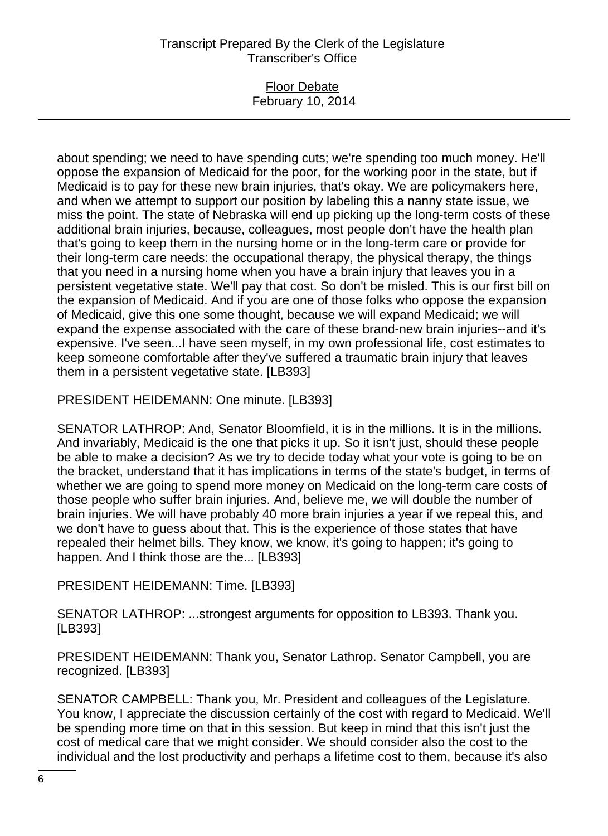### Floor Debate February 10, 2014

about spending; we need to have spending cuts; we're spending too much money. He'll oppose the expansion of Medicaid for the poor, for the working poor in the state, but if Medicaid is to pay for these new brain injuries, that's okay. We are policymakers here, and when we attempt to support our position by labeling this a nanny state issue, we miss the point. The state of Nebraska will end up picking up the long-term costs of these additional brain injuries, because, colleagues, most people don't have the health plan that's going to keep them in the nursing home or in the long-term care or provide for their long-term care needs: the occupational therapy, the physical therapy, the things that you need in a nursing home when you have a brain injury that leaves you in a persistent vegetative state. We'll pay that cost. So don't be misled. This is our first bill on the expansion of Medicaid. And if you are one of those folks who oppose the expansion of Medicaid, give this one some thought, because we will expand Medicaid; we will expand the expense associated with the care of these brand-new brain injuries--and it's expensive. I've seen...I have seen myself, in my own professional life, cost estimates to keep someone comfortable after they've suffered a traumatic brain injury that leaves them in a persistent vegetative state. [LB393]

PRESIDENT HEIDEMANN: One minute. [LB393]

SENATOR LATHROP: And, Senator Bloomfield, it is in the millions. It is in the millions. And invariably, Medicaid is the one that picks it up. So it isn't just, should these people be able to make a decision? As we try to decide today what your vote is going to be on the bracket, understand that it has implications in terms of the state's budget, in terms of whether we are going to spend more money on Medicaid on the long-term care costs of those people who suffer brain injuries. And, believe me, we will double the number of brain injuries. We will have probably 40 more brain injuries a year if we repeal this, and we don't have to guess about that. This is the experience of those states that have repealed their helmet bills. They know, we know, it's going to happen; it's going to happen. And I think those are the... [LB393]

PRESIDENT HEIDEMANN: Time. [LB393]

SENATOR LATHROP: ...strongest arguments for opposition to LB393. Thank you. [LB393]

PRESIDENT HEIDEMANN: Thank you, Senator Lathrop. Senator Campbell, you are recognized. [LB393]

SENATOR CAMPBELL: Thank you, Mr. President and colleagues of the Legislature. You know, I appreciate the discussion certainly of the cost with regard to Medicaid. We'll be spending more time on that in this session. But keep in mind that this isn't just the cost of medical care that we might consider. We should consider also the cost to the individual and the lost productivity and perhaps a lifetime cost to them, because it's also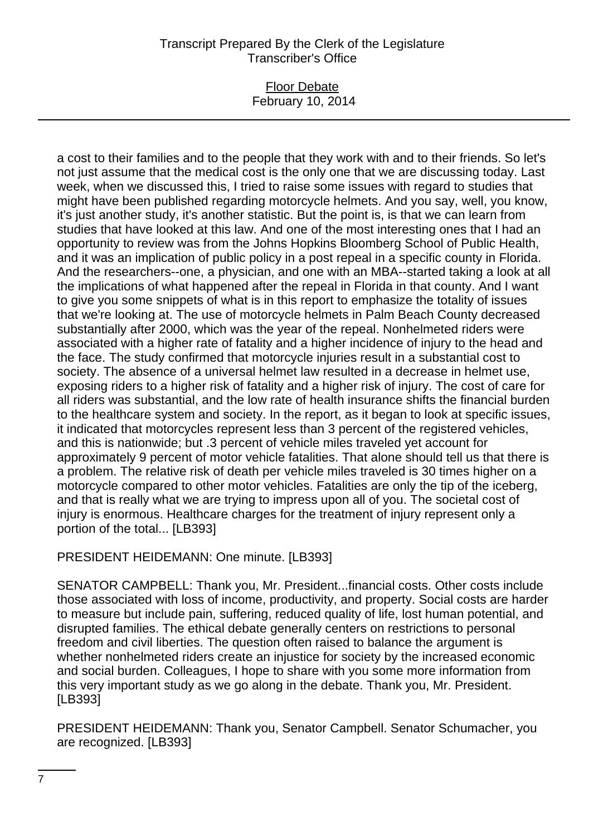### Floor Debate February 10, 2014

a cost to their families and to the people that they work with and to their friends. So let's not just assume that the medical cost is the only one that we are discussing today. Last week, when we discussed this, I tried to raise some issues with regard to studies that might have been published regarding motorcycle helmets. And you say, well, you know, it's just another study, it's another statistic. But the point is, is that we can learn from studies that have looked at this law. And one of the most interesting ones that I had an opportunity to review was from the Johns Hopkins Bloomberg School of Public Health, and it was an implication of public policy in a post repeal in a specific county in Florida. And the researchers--one, a physician, and one with an MBA--started taking a look at all the implications of what happened after the repeal in Florida in that county. And I want to give you some snippets of what is in this report to emphasize the totality of issues that we're looking at. The use of motorcycle helmets in Palm Beach County decreased substantially after 2000, which was the year of the repeal. Nonhelmeted riders were associated with a higher rate of fatality and a higher incidence of injury to the head and the face. The study confirmed that motorcycle injuries result in a substantial cost to society. The absence of a universal helmet law resulted in a decrease in helmet use, exposing riders to a higher risk of fatality and a higher risk of injury. The cost of care for all riders was substantial, and the low rate of health insurance shifts the financial burden to the healthcare system and society. In the report, as it began to look at specific issues, it indicated that motorcycles represent less than 3 percent of the registered vehicles, and this is nationwide; but .3 percent of vehicle miles traveled yet account for approximately 9 percent of motor vehicle fatalities. That alone should tell us that there is a problem. The relative risk of death per vehicle miles traveled is 30 times higher on a motorcycle compared to other motor vehicles. Fatalities are only the tip of the iceberg, and that is really what we are trying to impress upon all of you. The societal cost of injury is enormous. Healthcare charges for the treatment of injury represent only a portion of the total... [LB393]

PRESIDENT HEIDEMANN: One minute. [LB393]

SENATOR CAMPBELL: Thank you, Mr. President...financial costs. Other costs include those associated with loss of income, productivity, and property. Social costs are harder to measure but include pain, suffering, reduced quality of life, lost human potential, and disrupted families. The ethical debate generally centers on restrictions to personal freedom and civil liberties. The question often raised to balance the argument is whether nonhelmeted riders create an injustice for society by the increased economic and social burden. Colleagues, I hope to share with you some more information from this very important study as we go along in the debate. Thank you, Mr. President. [LB393]

PRESIDENT HEIDEMANN: Thank you, Senator Campbell. Senator Schumacher, you are recognized. [LB393]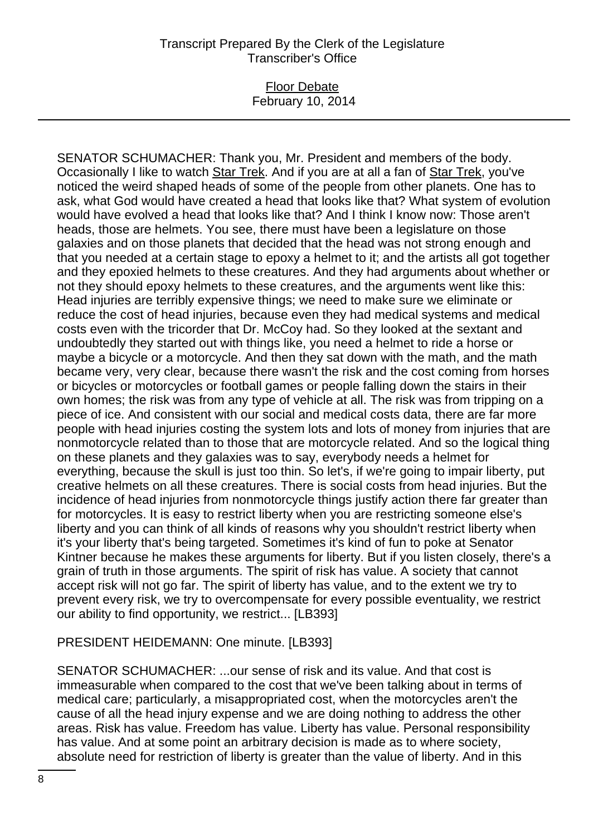### Floor Debate February 10, 2014

SENATOR SCHUMACHER: Thank you, Mr. President and members of the body. Occasionally I like to watch Star Trek. And if you are at all a fan of Star Trek, you've noticed the weird shaped heads of some of the people from other planets. One has to ask, what God would have created a head that looks like that? What system of evolution would have evolved a head that looks like that? And I think I know now: Those aren't heads, those are helmets. You see, there must have been a legislature on those galaxies and on those planets that decided that the head was not strong enough and that you needed at a certain stage to epoxy a helmet to it; and the artists all got together and they epoxied helmets to these creatures. And they had arguments about whether or not they should epoxy helmets to these creatures, and the arguments went like this: Head injuries are terribly expensive things; we need to make sure we eliminate or reduce the cost of head injuries, because even they had medical systems and medical costs even with the tricorder that Dr. McCoy had. So they looked at the sextant and undoubtedly they started out with things like, you need a helmet to ride a horse or maybe a bicycle or a motorcycle. And then they sat down with the math, and the math became very, very clear, because there wasn't the risk and the cost coming from horses or bicycles or motorcycles or football games or people falling down the stairs in their own homes; the risk was from any type of vehicle at all. The risk was from tripping on a piece of ice. And consistent with our social and medical costs data, there are far more people with head injuries costing the system lots and lots of money from injuries that are nonmotorcycle related than to those that are motorcycle related. And so the logical thing on these planets and they galaxies was to say, everybody needs a helmet for everything, because the skull is just too thin. So let's, if we're going to impair liberty, put creative helmets on all these creatures. There is social costs from head injuries. But the incidence of head injuries from nonmotorcycle things justify action there far greater than for motorcycles. It is easy to restrict liberty when you are restricting someone else's liberty and you can think of all kinds of reasons why you shouldn't restrict liberty when it's your liberty that's being targeted. Sometimes it's kind of fun to poke at Senator Kintner because he makes these arguments for liberty. But if you listen closely, there's a grain of truth in those arguments. The spirit of risk has value. A society that cannot accept risk will not go far. The spirit of liberty has value, and to the extent we try to prevent every risk, we try to overcompensate for every possible eventuality, we restrict our ability to find opportunity, we restrict... [LB393]

#### PRESIDENT HEIDEMANN: One minute. [LB393]

SENATOR SCHUMACHER: ...our sense of risk and its value. And that cost is immeasurable when compared to the cost that we've been talking about in terms of medical care; particularly, a misappropriated cost, when the motorcycles aren't the cause of all the head injury expense and we are doing nothing to address the other areas. Risk has value. Freedom has value. Liberty has value. Personal responsibility has value. And at some point an arbitrary decision is made as to where society, absolute need for restriction of liberty is greater than the value of liberty. And in this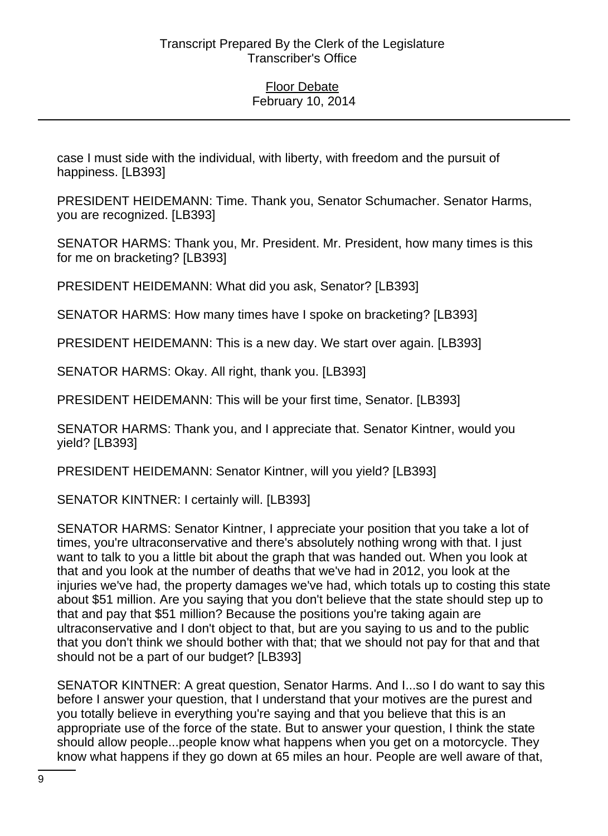case I must side with the individual, with liberty, with freedom and the pursuit of happiness. [LB393]

PRESIDENT HEIDEMANN: Time. Thank you, Senator Schumacher. Senator Harms, you are recognized. [LB393]

SENATOR HARMS: Thank you, Mr. President. Mr. President, how many times is this for me on bracketing? [LB393]

PRESIDENT HEIDEMANN: What did you ask, Senator? [LB393]

SENATOR HARMS: How many times have I spoke on bracketing? [LB393]

PRESIDENT HEIDEMANN: This is a new day. We start over again. [LB393]

SENATOR HARMS: Okay. All right, thank you. [LB393]

PRESIDENT HEIDEMANN: This will be your first time, Senator. [LB393]

SENATOR HARMS: Thank you, and I appreciate that. Senator Kintner, would you yield? [LB393]

PRESIDENT HEIDEMANN: Senator Kintner, will you yield? [LB393]

SENATOR KINTNER: I certainly will. [LB393]

SENATOR HARMS: Senator Kintner, I appreciate your position that you take a lot of times, you're ultraconservative and there's absolutely nothing wrong with that. I just want to talk to you a little bit about the graph that was handed out. When you look at that and you look at the number of deaths that we've had in 2012, you look at the injuries we've had, the property damages we've had, which totals up to costing this state about \$51 million. Are you saying that you don't believe that the state should step up to that and pay that \$51 million? Because the positions you're taking again are ultraconservative and I don't object to that, but are you saying to us and to the public that you don't think we should bother with that; that we should not pay for that and that should not be a part of our budget? [LB393]

SENATOR KINTNER: A great question, Senator Harms. And I...so I do want to say this before I answer your question, that I understand that your motives are the purest and you totally believe in everything you're saying and that you believe that this is an appropriate use of the force of the state. But to answer your question, I think the state should allow people...people know what happens when you get on a motorcycle. They know what happens if they go down at 65 miles an hour. People are well aware of that,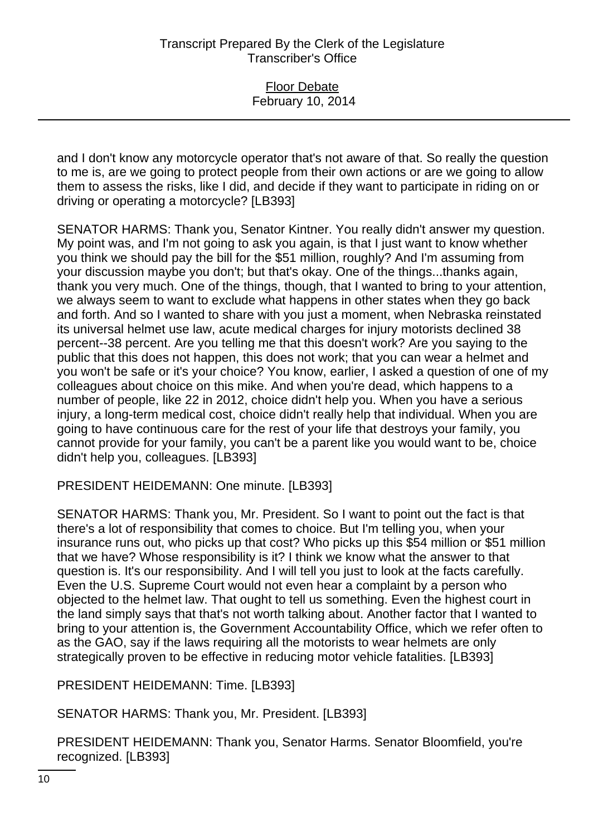and I don't know any motorcycle operator that's not aware of that. So really the question to me is, are we going to protect people from their own actions or are we going to allow them to assess the risks, like I did, and decide if they want to participate in riding on or driving or operating a motorcycle? [LB393]

SENATOR HARMS: Thank you, Senator Kintner. You really didn't answer my question. My point was, and I'm not going to ask you again, is that I just want to know whether you think we should pay the bill for the \$51 million, roughly? And I'm assuming from your discussion maybe you don't; but that's okay. One of the things...thanks again, thank you very much. One of the things, though, that I wanted to bring to your attention, we always seem to want to exclude what happens in other states when they go back and forth. And so I wanted to share with you just a moment, when Nebraska reinstated its universal helmet use law, acute medical charges for injury motorists declined 38 percent--38 percent. Are you telling me that this doesn't work? Are you saying to the public that this does not happen, this does not work; that you can wear a helmet and you won't be safe or it's your choice? You know, earlier, I asked a question of one of my colleagues about choice on this mike. And when you're dead, which happens to a number of people, like 22 in 2012, choice didn't help you. When you have a serious injury, a long-term medical cost, choice didn't really help that individual. When you are going to have continuous care for the rest of your life that destroys your family, you cannot provide for your family, you can't be a parent like you would want to be, choice didn't help you, colleagues. [LB393]

PRESIDENT HEIDEMANN: One minute. [LB393]

SENATOR HARMS: Thank you, Mr. President. So I want to point out the fact is that there's a lot of responsibility that comes to choice. But I'm telling you, when your insurance runs out, who picks up that cost? Who picks up this \$54 million or \$51 million that we have? Whose responsibility is it? I think we know what the answer to that question is. It's our responsibility. And I will tell you just to look at the facts carefully. Even the U.S. Supreme Court would not even hear a complaint by a person who objected to the helmet law. That ought to tell us something. Even the highest court in the land simply says that that's not worth talking about. Another factor that I wanted to bring to your attention is, the Government Accountability Office, which we refer often to as the GAO, say if the laws requiring all the motorists to wear helmets are only strategically proven to be effective in reducing motor vehicle fatalities. [LB393]

PRESIDENT HEIDEMANN: Time. [LB393]

SENATOR HARMS: Thank you, Mr. President. [LB393]

PRESIDENT HEIDEMANN: Thank you, Senator Harms. Senator Bloomfield, you're recognized. [LB393]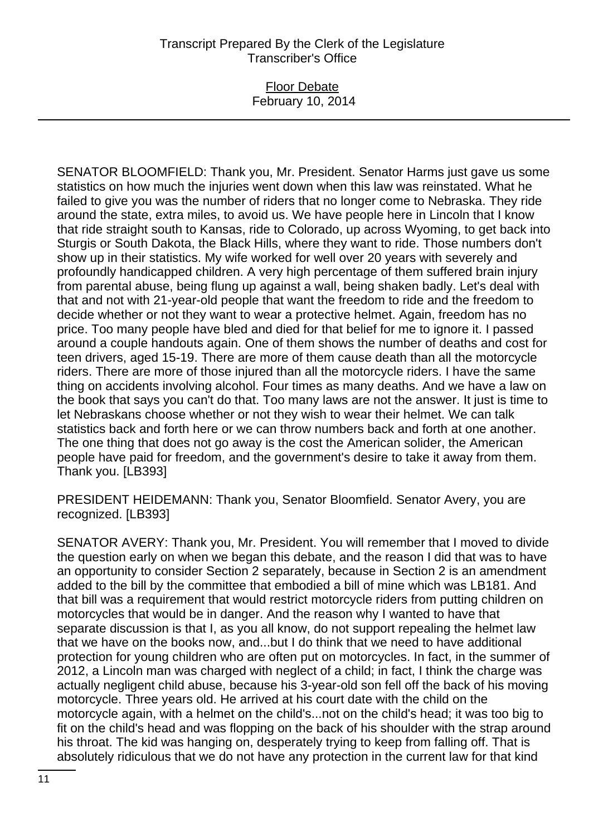### Floor Debate February 10, 2014

SENATOR BLOOMFIELD: Thank you, Mr. President. Senator Harms just gave us some statistics on how much the injuries went down when this law was reinstated. What he failed to give you was the number of riders that no longer come to Nebraska. They ride around the state, extra miles, to avoid us. We have people here in Lincoln that I know that ride straight south to Kansas, ride to Colorado, up across Wyoming, to get back into Sturgis or South Dakota, the Black Hills, where they want to ride. Those numbers don't show up in their statistics. My wife worked for well over 20 years with severely and profoundly handicapped children. A very high percentage of them suffered brain injury from parental abuse, being flung up against a wall, being shaken badly. Let's deal with that and not with 21-year-old people that want the freedom to ride and the freedom to decide whether or not they want to wear a protective helmet. Again, freedom has no price. Too many people have bled and died for that belief for me to ignore it. I passed around a couple handouts again. One of them shows the number of deaths and cost for teen drivers, aged 15-19. There are more of them cause death than all the motorcycle riders. There are more of those injured than all the motorcycle riders. I have the same thing on accidents involving alcohol. Four times as many deaths. And we have a law on the book that says you can't do that. Too many laws are not the answer. It just is time to let Nebraskans choose whether or not they wish to wear their helmet. We can talk statistics back and forth here or we can throw numbers back and forth at one another. The one thing that does not go away is the cost the American solider, the American people have paid for freedom, and the government's desire to take it away from them. Thank you. [LB393]

PRESIDENT HEIDEMANN: Thank you, Senator Bloomfield. Senator Avery, you are recognized. [LB393]

SENATOR AVERY: Thank you, Mr. President. You will remember that I moved to divide the question early on when we began this debate, and the reason I did that was to have an opportunity to consider Section 2 separately, because in Section 2 is an amendment added to the bill by the committee that embodied a bill of mine which was LB181. And that bill was a requirement that would restrict motorcycle riders from putting children on motorcycles that would be in danger. And the reason why I wanted to have that separate discussion is that I, as you all know, do not support repealing the helmet law that we have on the books now, and...but I do think that we need to have additional protection for young children who are often put on motorcycles. In fact, in the summer of 2012, a Lincoln man was charged with neglect of a child; in fact, I think the charge was actually negligent child abuse, because his 3-year-old son fell off the back of his moving motorcycle. Three years old. He arrived at his court date with the child on the motorcycle again, with a helmet on the child's...not on the child's head; it was too big to fit on the child's head and was flopping on the back of his shoulder with the strap around his throat. The kid was hanging on, desperately trying to keep from falling off. That is absolutely ridiculous that we do not have any protection in the current law for that kind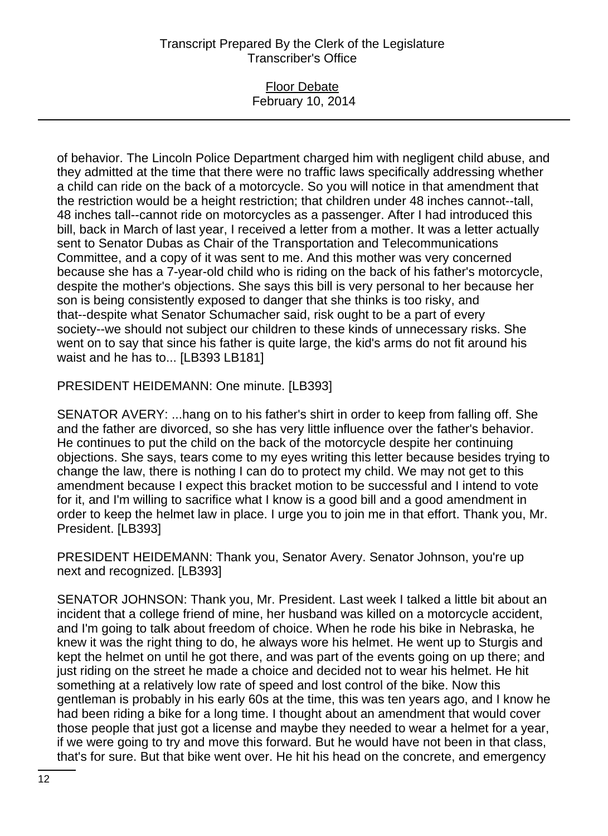#### Floor Debate February 10, 2014

of behavior. The Lincoln Police Department charged him with negligent child abuse, and they admitted at the time that there were no traffic laws specifically addressing whether a child can ride on the back of a motorcycle. So you will notice in that amendment that the restriction would be a height restriction; that children under 48 inches cannot--tall, 48 inches tall--cannot ride on motorcycles as a passenger. After I had introduced this bill, back in March of last year, I received a letter from a mother. It was a letter actually sent to Senator Dubas as Chair of the Transportation and Telecommunications Committee, and a copy of it was sent to me. And this mother was very concerned because she has a 7-year-old child who is riding on the back of his father's motorcycle, despite the mother's objections. She says this bill is very personal to her because her son is being consistently exposed to danger that she thinks is too risky, and that--despite what Senator Schumacher said, risk ought to be a part of every society--we should not subject our children to these kinds of unnecessary risks. She went on to say that since his father is quite large, the kid's arms do not fit around his waist and he has to... [LB393 LB181]

PRESIDENT HEIDEMANN: One minute. [LB393]

SENATOR AVERY: ...hang on to his father's shirt in order to keep from falling off. She and the father are divorced, so she has very little influence over the father's behavior. He continues to put the child on the back of the motorcycle despite her continuing objections. She says, tears come to my eyes writing this letter because besides trying to change the law, there is nothing I can do to protect my child. We may not get to this amendment because I expect this bracket motion to be successful and I intend to vote for it, and I'm willing to sacrifice what I know is a good bill and a good amendment in order to keep the helmet law in place. I urge you to join me in that effort. Thank you, Mr. President. [LB393]

PRESIDENT HEIDEMANN: Thank you, Senator Avery. Senator Johnson, you're up next and recognized. [LB393]

SENATOR JOHNSON: Thank you, Mr. President. Last week I talked a little bit about an incident that a college friend of mine, her husband was killed on a motorcycle accident, and I'm going to talk about freedom of choice. When he rode his bike in Nebraska, he knew it was the right thing to do, he always wore his helmet. He went up to Sturgis and kept the helmet on until he got there, and was part of the events going on up there; and just riding on the street he made a choice and decided not to wear his helmet. He hit something at a relatively low rate of speed and lost control of the bike. Now this gentleman is probably in his early 60s at the time, this was ten years ago, and I know he had been riding a bike for a long time. I thought about an amendment that would cover those people that just got a license and maybe they needed to wear a helmet for a year, if we were going to try and move this forward. But he would have not been in that class, that's for sure. But that bike went over. He hit his head on the concrete, and emergency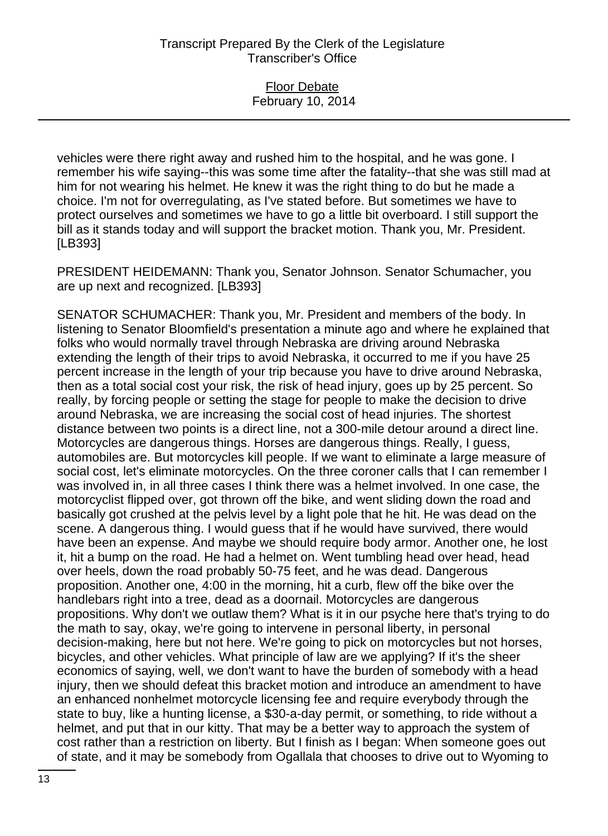Floor Debate February 10, 2014

vehicles were there right away and rushed him to the hospital, and he was gone. I remember his wife saying--this was some time after the fatality--that she was still mad at him for not wearing his helmet. He knew it was the right thing to do but he made a choice. I'm not for overregulating, as I've stated before. But sometimes we have to protect ourselves and sometimes we have to go a little bit overboard. I still support the bill as it stands today and will support the bracket motion. Thank you, Mr. President. [LB393]

PRESIDENT HEIDEMANN: Thank you, Senator Johnson. Senator Schumacher, you are up next and recognized. [LB393]

SENATOR SCHUMACHER: Thank you, Mr. President and members of the body. In listening to Senator Bloomfield's presentation a minute ago and where he explained that folks who would normally travel through Nebraska are driving around Nebraska extending the length of their trips to avoid Nebraska, it occurred to me if you have 25 percent increase in the length of your trip because you have to drive around Nebraska, then as a total social cost your risk, the risk of head injury, goes up by 25 percent. So really, by forcing people or setting the stage for people to make the decision to drive around Nebraska, we are increasing the social cost of head injuries. The shortest distance between two points is a direct line, not a 300-mile detour around a direct line. Motorcycles are dangerous things. Horses are dangerous things. Really, I guess, automobiles are. But motorcycles kill people. If we want to eliminate a large measure of social cost, let's eliminate motorcycles. On the three coroner calls that I can remember I was involved in, in all three cases I think there was a helmet involved. In one case, the motorcyclist flipped over, got thrown off the bike, and went sliding down the road and basically got crushed at the pelvis level by a light pole that he hit. He was dead on the scene. A dangerous thing. I would guess that if he would have survived, there would have been an expense. And maybe we should require body armor. Another one, he lost it, hit a bump on the road. He had a helmet on. Went tumbling head over head, head over heels, down the road probably 50-75 feet, and he was dead. Dangerous proposition. Another one, 4:00 in the morning, hit a curb, flew off the bike over the handlebars right into a tree, dead as a doornail. Motorcycles are dangerous propositions. Why don't we outlaw them? What is it in our psyche here that's trying to do the math to say, okay, we're going to intervene in personal liberty, in personal decision-making, here but not here. We're going to pick on motorcycles but not horses, bicycles, and other vehicles. What principle of law are we applying? If it's the sheer economics of saying, well, we don't want to have the burden of somebody with a head injury, then we should defeat this bracket motion and introduce an amendment to have an enhanced nonhelmet motorcycle licensing fee and require everybody through the state to buy, like a hunting license, a \$30-a-day permit, or something, to ride without a helmet, and put that in our kitty. That may be a better way to approach the system of cost rather than a restriction on liberty. But I finish as I began: When someone goes out of state, and it may be somebody from Ogallala that chooses to drive out to Wyoming to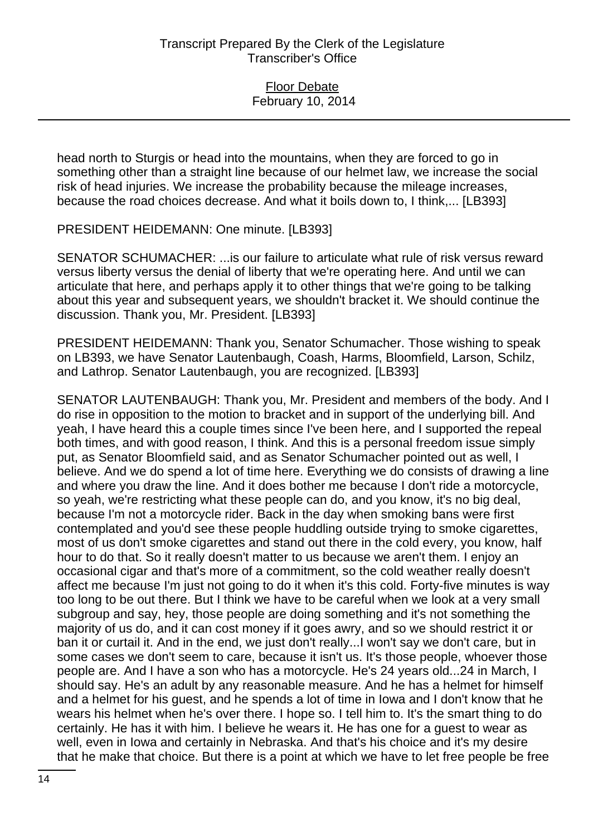head north to Sturgis or head into the mountains, when they are forced to go in something other than a straight line because of our helmet law, we increase the social risk of head injuries. We increase the probability because the mileage increases, because the road choices decrease. And what it boils down to, I think,... [LB393]

PRESIDENT HEIDEMANN: One minute. [LB393]

SENATOR SCHUMACHER: ...is our failure to articulate what rule of risk versus reward versus liberty versus the denial of liberty that we're operating here. And until we can articulate that here, and perhaps apply it to other things that we're going to be talking about this year and subsequent years, we shouldn't bracket it. We should continue the discussion. Thank you, Mr. President. [LB393]

PRESIDENT HEIDEMANN: Thank you, Senator Schumacher. Those wishing to speak on LB393, we have Senator Lautenbaugh, Coash, Harms, Bloomfield, Larson, Schilz, and Lathrop. Senator Lautenbaugh, you are recognized. [LB393]

SENATOR LAUTENBAUGH: Thank you, Mr. President and members of the body. And I do rise in opposition to the motion to bracket and in support of the underlying bill. And yeah, I have heard this a couple times since I've been here, and I supported the repeal both times, and with good reason, I think. And this is a personal freedom issue simply put, as Senator Bloomfield said, and as Senator Schumacher pointed out as well, I believe. And we do spend a lot of time here. Everything we do consists of drawing a line and where you draw the line. And it does bother me because I don't ride a motorcycle, so yeah, we're restricting what these people can do, and you know, it's no big deal, because I'm not a motorcycle rider. Back in the day when smoking bans were first contemplated and you'd see these people huddling outside trying to smoke cigarettes, most of us don't smoke cigarettes and stand out there in the cold every, you know, half hour to do that. So it really doesn't matter to us because we aren't them. I enjoy an occasional cigar and that's more of a commitment, so the cold weather really doesn't affect me because I'm just not going to do it when it's this cold. Forty-five minutes is way too long to be out there. But I think we have to be careful when we look at a very small subgroup and say, hey, those people are doing something and it's not something the majority of us do, and it can cost money if it goes awry, and so we should restrict it or ban it or curtail it. And in the end, we just don't really...I won't say we don't care, but in some cases we don't seem to care, because it isn't us. It's those people, whoever those people are. And I have a son who has a motorcycle. He's 24 years old...24 in March, I should say. He's an adult by any reasonable measure. And he has a helmet for himself and a helmet for his guest, and he spends a lot of time in Iowa and I don't know that he wears his helmet when he's over there. I hope so. I tell him to. It's the smart thing to do certainly. He has it with him. I believe he wears it. He has one for a guest to wear as well, even in Iowa and certainly in Nebraska. And that's his choice and it's my desire that he make that choice. But there is a point at which we have to let free people be free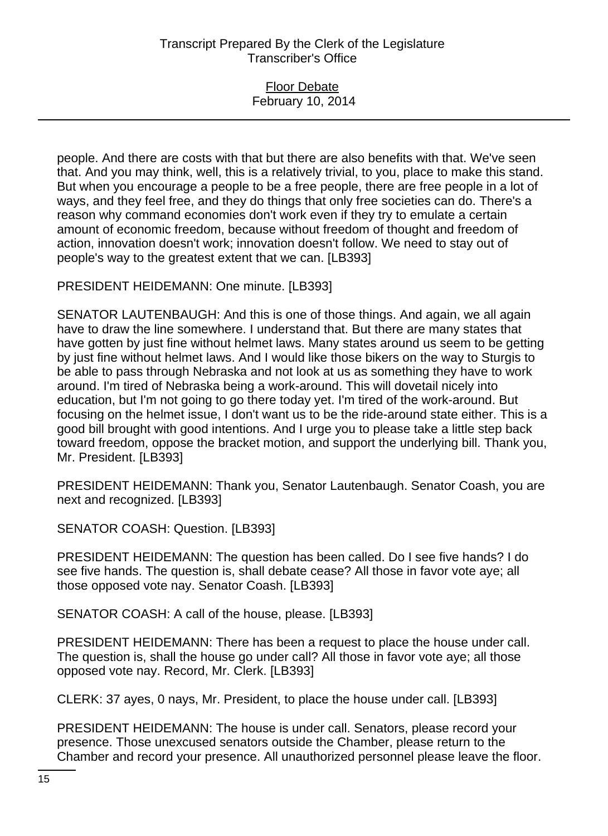#### Floor Debate February 10, 2014

people. And there are costs with that but there are also benefits with that. We've seen that. And you may think, well, this is a relatively trivial, to you, place to make this stand. But when you encourage a people to be a free people, there are free people in a lot of ways, and they feel free, and they do things that only free societies can do. There's a reason why command economies don't work even if they try to emulate a certain amount of economic freedom, because without freedom of thought and freedom of action, innovation doesn't work; innovation doesn't follow. We need to stay out of people's way to the greatest extent that we can. [LB393]

PRESIDENT HEIDEMANN: One minute. [LB393]

SENATOR LAUTENBAUGH: And this is one of those things. And again, we all again have to draw the line somewhere. I understand that. But there are many states that have gotten by just fine without helmet laws. Many states around us seem to be getting by just fine without helmet laws. And I would like those bikers on the way to Sturgis to be able to pass through Nebraska and not look at us as something they have to work around. I'm tired of Nebraska being a work-around. This will dovetail nicely into education, but I'm not going to go there today yet. I'm tired of the work-around. But focusing on the helmet issue, I don't want us to be the ride-around state either. This is a good bill brought with good intentions. And I urge you to please take a little step back toward freedom, oppose the bracket motion, and support the underlying bill. Thank you, Mr. President. [LB393]

PRESIDENT HEIDEMANN: Thank you, Senator Lautenbaugh. Senator Coash, you are next and recognized. [LB393]

SENATOR COASH: Question. [LB393]

PRESIDENT HEIDEMANN: The question has been called. Do I see five hands? I do see five hands. The question is, shall debate cease? All those in favor vote aye; all those opposed vote nay. Senator Coash. [LB393]

SENATOR COASH: A call of the house, please. [LB393]

PRESIDENT HEIDEMANN: There has been a request to place the house under call. The question is, shall the house go under call? All those in favor vote aye; all those opposed vote nay. Record, Mr. Clerk. [LB393]

CLERK: 37 ayes, 0 nays, Mr. President, to place the house under call. [LB393]

PRESIDENT HEIDEMANN: The house is under call. Senators, please record your presence. Those unexcused senators outside the Chamber, please return to the Chamber and record your presence. All unauthorized personnel please leave the floor.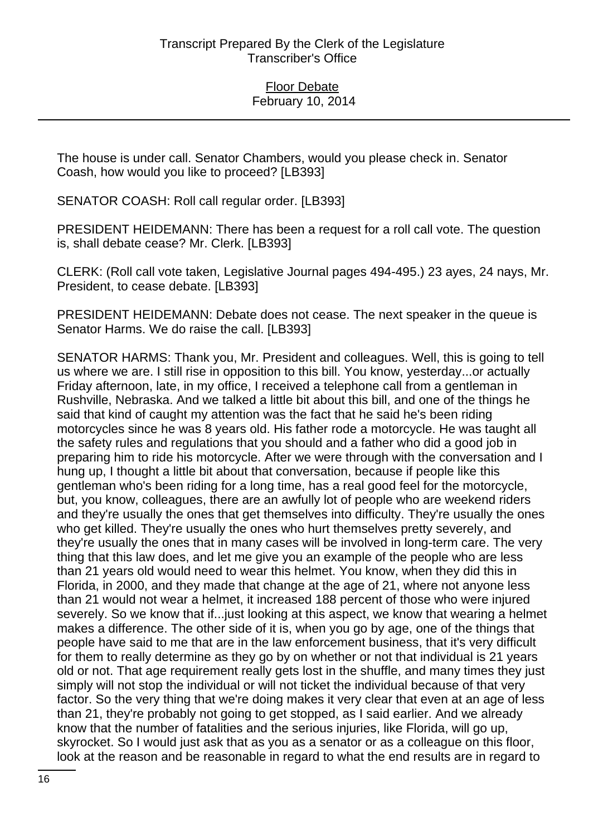The house is under call. Senator Chambers, would you please check in. Senator Coash, how would you like to proceed? [LB393]

SENATOR COASH: Roll call regular order. [LB393]

PRESIDENT HEIDEMANN: There has been a request for a roll call vote. The question is, shall debate cease? Mr. Clerk. [LB393]

CLERK: (Roll call vote taken, Legislative Journal pages 494-495.) 23 ayes, 24 nays, Mr. President, to cease debate. [LB393]

PRESIDENT HEIDEMANN: Debate does not cease. The next speaker in the queue is Senator Harms. We do raise the call. [LB393]

SENATOR HARMS: Thank you, Mr. President and colleagues. Well, this is going to tell us where we are. I still rise in opposition to this bill. You know, yesterday...or actually Friday afternoon, late, in my office, I received a telephone call from a gentleman in Rushville, Nebraska. And we talked a little bit about this bill, and one of the things he said that kind of caught my attention was the fact that he said he's been riding motorcycles since he was 8 years old. His father rode a motorcycle. He was taught all the safety rules and regulations that you should and a father who did a good job in preparing him to ride his motorcycle. After we were through with the conversation and I hung up, I thought a little bit about that conversation, because if people like this gentleman who's been riding for a long time, has a real good feel for the motorcycle, but, you know, colleagues, there are an awfully lot of people who are weekend riders and they're usually the ones that get themselves into difficulty. They're usually the ones who get killed. They're usually the ones who hurt themselves pretty severely, and they're usually the ones that in many cases will be involved in long-term care. The very thing that this law does, and let me give you an example of the people who are less than 21 years old would need to wear this helmet. You know, when they did this in Florida, in 2000, and they made that change at the age of 21, where not anyone less than 21 would not wear a helmet, it increased 188 percent of those who were injured severely. So we know that if...just looking at this aspect, we know that wearing a helmet makes a difference. The other side of it is, when you go by age, one of the things that people have said to me that are in the law enforcement business, that it's very difficult for them to really determine as they go by on whether or not that individual is 21 years old or not. That age requirement really gets lost in the shuffle, and many times they just simply will not stop the individual or will not ticket the individual because of that very factor. So the very thing that we're doing makes it very clear that even at an age of less than 21, they're probably not going to get stopped, as I said earlier. And we already know that the number of fatalities and the serious injuries, like Florida, will go up, skyrocket. So I would just ask that as you as a senator or as a colleague on this floor, look at the reason and be reasonable in regard to what the end results are in regard to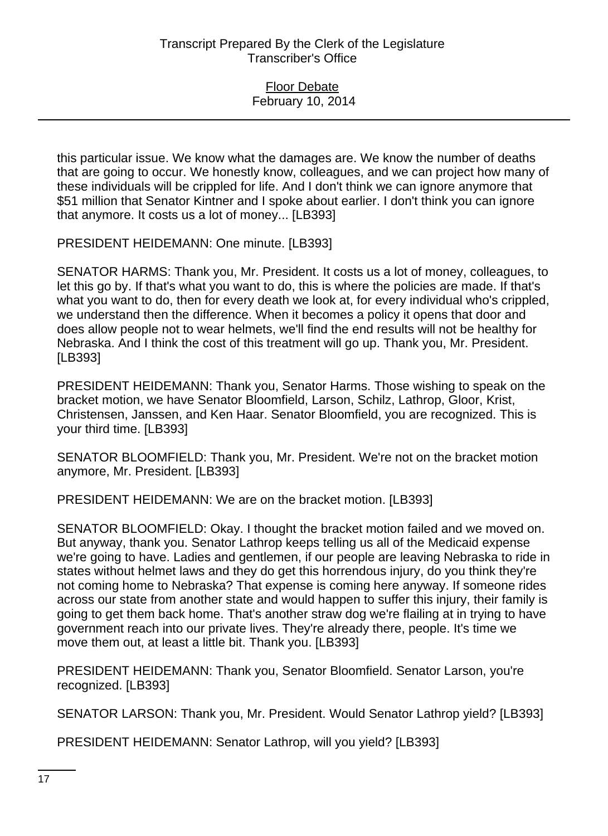this particular issue. We know what the damages are. We know the number of deaths that are going to occur. We honestly know, colleagues, and we can project how many of these individuals will be crippled for life. And I don't think we can ignore anymore that \$51 million that Senator Kintner and I spoke about earlier. I don't think you can ignore that anymore. It costs us a lot of money... [LB393]

PRESIDENT HEIDEMANN: One minute. [LB393]

SENATOR HARMS: Thank you, Mr. President. It costs us a lot of money, colleagues, to let this go by. If that's what you want to do, this is where the policies are made. If that's what you want to do, then for every death we look at, for every individual who's crippled, we understand then the difference. When it becomes a policy it opens that door and does allow people not to wear helmets, we'll find the end results will not be healthy for Nebraska. And I think the cost of this treatment will go up. Thank you, Mr. President. [LB393]

PRESIDENT HEIDEMANN: Thank you, Senator Harms. Those wishing to speak on the bracket motion, we have Senator Bloomfield, Larson, Schilz, Lathrop, Gloor, Krist, Christensen, Janssen, and Ken Haar. Senator Bloomfield, you are recognized. This is your third time. [LB393]

SENATOR BLOOMFIELD: Thank you, Mr. President. We're not on the bracket motion anymore, Mr. President. [LB393]

PRESIDENT HEIDEMANN: We are on the bracket motion. [LB393]

SENATOR BLOOMFIELD: Okay. I thought the bracket motion failed and we moved on. But anyway, thank you. Senator Lathrop keeps telling us all of the Medicaid expense we're going to have. Ladies and gentlemen, if our people are leaving Nebraska to ride in states without helmet laws and they do get this horrendous injury, do you think they're not coming home to Nebraska? That expense is coming here anyway. If someone rides across our state from another state and would happen to suffer this injury, their family is going to get them back home. That's another straw dog we're flailing at in trying to have government reach into our private lives. They're already there, people. It's time we move them out, at least a little bit. Thank you. [LB393]

PRESIDENT HEIDEMANN: Thank you, Senator Bloomfield. Senator Larson, you're recognized. [LB393]

SENATOR LARSON: Thank you, Mr. President. Would Senator Lathrop yield? [LB393]

PRESIDENT HEIDEMANN: Senator Lathrop, will you yield? [LB393]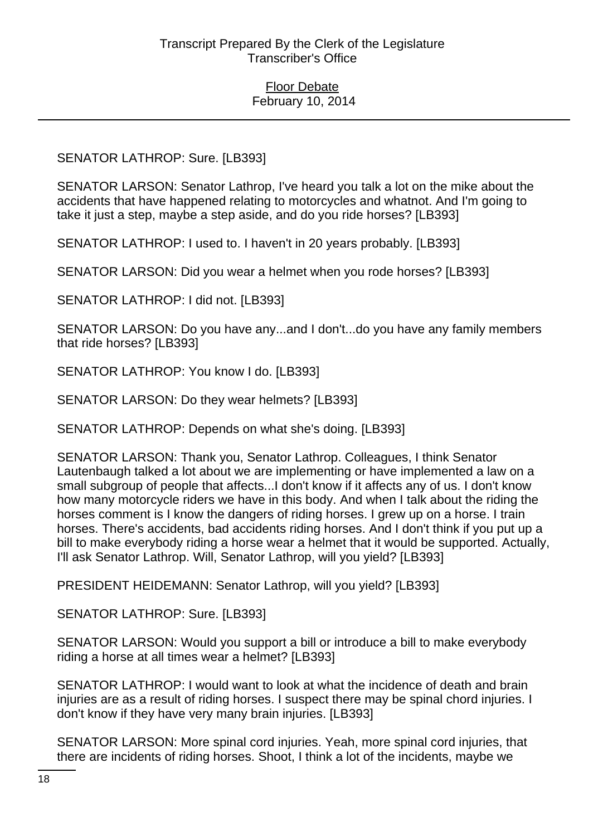# SENATOR LATHROP: Sure. [LB393]

SENATOR LARSON: Senator Lathrop, I've heard you talk a lot on the mike about the accidents that have happened relating to motorcycles and whatnot. And I'm going to take it just a step, maybe a step aside, and do you ride horses? [LB393]

SENATOR LATHROP: I used to. I haven't in 20 years probably. [LB393]

SENATOR LARSON: Did you wear a helmet when you rode horses? [LB393]

SENATOR LATHROP: I did not. [LB393]

SENATOR LARSON: Do you have any...and I don't...do you have any family members that ride horses? [LB393]

SENATOR LATHROP: You know I do. [LB393]

SENATOR LARSON: Do they wear helmets? [LB393]

SENATOR LATHROP: Depends on what she's doing. [LB393]

SENATOR LARSON: Thank you, Senator Lathrop. Colleagues, I think Senator Lautenbaugh talked a lot about we are implementing or have implemented a law on a small subgroup of people that affects...I don't know if it affects any of us. I don't know how many motorcycle riders we have in this body. And when I talk about the riding the horses comment is I know the dangers of riding horses. I grew up on a horse. I train horses. There's accidents, bad accidents riding horses. And I don't think if you put up a bill to make everybody riding a horse wear a helmet that it would be supported. Actually, I'll ask Senator Lathrop. Will, Senator Lathrop, will you yield? [LB393]

PRESIDENT HEIDEMANN: Senator Lathrop, will you yield? [LB393]

SENATOR LATHROP: Sure. [LB393]

SENATOR LARSON: Would you support a bill or introduce a bill to make everybody riding a horse at all times wear a helmet? [LB393]

SENATOR LATHROP: I would want to look at what the incidence of death and brain injuries are as a result of riding horses. I suspect there may be spinal chord injuries. I don't know if they have very many brain injuries. [LB393]

SENATOR LARSON: More spinal cord injuries. Yeah, more spinal cord injuries, that there are incidents of riding horses. Shoot, I think a lot of the incidents, maybe we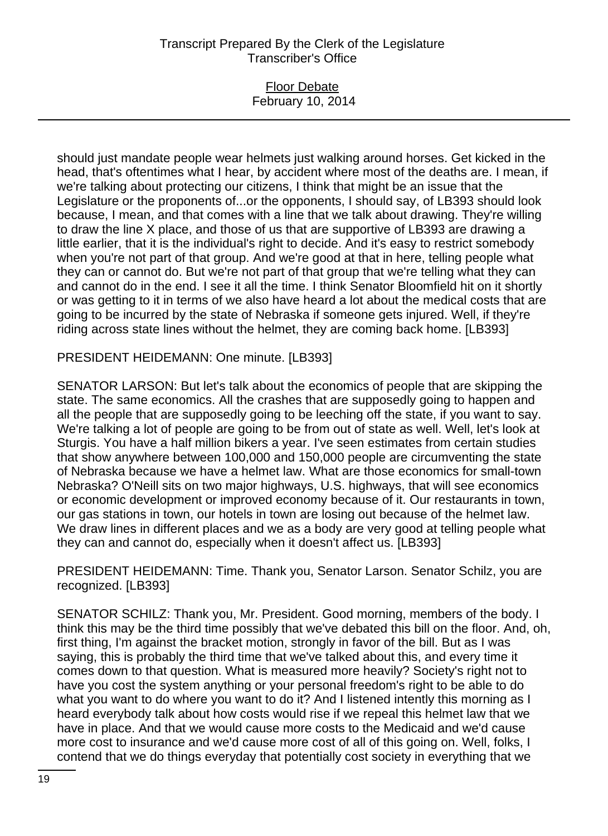### Floor Debate February 10, 2014

should just mandate people wear helmets just walking around horses. Get kicked in the head, that's oftentimes what I hear, by accident where most of the deaths are. I mean, if we're talking about protecting our citizens, I think that might be an issue that the Legislature or the proponents of...or the opponents, I should say, of LB393 should look because, I mean, and that comes with a line that we talk about drawing. They're willing to draw the line X place, and those of us that are supportive of LB393 are drawing a little earlier, that it is the individual's right to decide. And it's easy to restrict somebody when you're not part of that group. And we're good at that in here, telling people what they can or cannot do. But we're not part of that group that we're telling what they can and cannot do in the end. I see it all the time. I think Senator Bloomfield hit on it shortly or was getting to it in terms of we also have heard a lot about the medical costs that are going to be incurred by the state of Nebraska if someone gets injured. Well, if they're riding across state lines without the helmet, they are coming back home. [LB393]

PRESIDENT HEIDEMANN: One minute. [LB393]

SENATOR LARSON: But let's talk about the economics of people that are skipping the state. The same economics. All the crashes that are supposedly going to happen and all the people that are supposedly going to be leeching off the state, if you want to say. We're talking a lot of people are going to be from out of state as well. Well, let's look at Sturgis. You have a half million bikers a year. I've seen estimates from certain studies that show anywhere between 100,000 and 150,000 people are circumventing the state of Nebraska because we have a helmet law. What are those economics for small-town Nebraska? O'Neill sits on two major highways, U.S. highways, that will see economics or economic development or improved economy because of it. Our restaurants in town, our gas stations in town, our hotels in town are losing out because of the helmet law. We draw lines in different places and we as a body are very good at telling people what they can and cannot do, especially when it doesn't affect us. [LB393]

PRESIDENT HEIDEMANN: Time. Thank you, Senator Larson. Senator Schilz, you are recognized. [LB393]

SENATOR SCHILZ: Thank you, Mr. President. Good morning, members of the body. I think this may be the third time possibly that we've debated this bill on the floor. And, oh, first thing, I'm against the bracket motion, strongly in favor of the bill. But as I was saying, this is probably the third time that we've talked about this, and every time it comes down to that question. What is measured more heavily? Society's right not to have you cost the system anything or your personal freedom's right to be able to do what you want to do where you want to do it? And I listened intently this morning as I heard everybody talk about how costs would rise if we repeal this helmet law that we have in place. And that we would cause more costs to the Medicaid and we'd cause more cost to insurance and we'd cause more cost of all of this going on. Well, folks, I contend that we do things everyday that potentially cost society in everything that we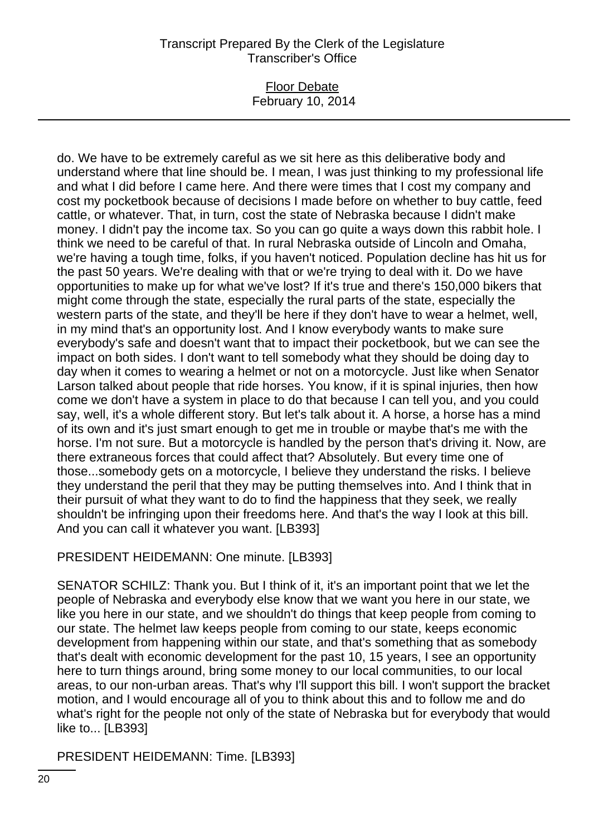### Floor Debate February 10, 2014

do. We have to be extremely careful as we sit here as this deliberative body and understand where that line should be. I mean, I was just thinking to my professional life and what I did before I came here. And there were times that I cost my company and cost my pocketbook because of decisions I made before on whether to buy cattle, feed cattle, or whatever. That, in turn, cost the state of Nebraska because I didn't make money. I didn't pay the income tax. So you can go quite a ways down this rabbit hole. I think we need to be careful of that. In rural Nebraska outside of Lincoln and Omaha, we're having a tough time, folks, if you haven't noticed. Population decline has hit us for the past 50 years. We're dealing with that or we're trying to deal with it. Do we have opportunities to make up for what we've lost? If it's true and there's 150,000 bikers that might come through the state, especially the rural parts of the state, especially the western parts of the state, and they'll be here if they don't have to wear a helmet, well, in my mind that's an opportunity lost. And I know everybody wants to make sure everybody's safe and doesn't want that to impact their pocketbook, but we can see the impact on both sides. I don't want to tell somebody what they should be doing day to day when it comes to wearing a helmet or not on a motorcycle. Just like when Senator Larson talked about people that ride horses. You know, if it is spinal injuries, then how come we don't have a system in place to do that because I can tell you, and you could say, well, it's a whole different story. But let's talk about it. A horse, a horse has a mind of its own and it's just smart enough to get me in trouble or maybe that's me with the horse. I'm not sure. But a motorcycle is handled by the person that's driving it. Now, are there extraneous forces that could affect that? Absolutely. But every time one of those...somebody gets on a motorcycle, I believe they understand the risks. I believe they understand the peril that they may be putting themselves into. And I think that in their pursuit of what they want to do to find the happiness that they seek, we really shouldn't be infringing upon their freedoms here. And that's the way I look at this bill. And you can call it whatever you want. [LB393]

#### PRESIDENT HEIDEMANN: One minute. [LB393]

SENATOR SCHILZ: Thank you. But I think of it, it's an important point that we let the people of Nebraska and everybody else know that we want you here in our state, we like you here in our state, and we shouldn't do things that keep people from coming to our state. The helmet law keeps people from coming to our state, keeps economic development from happening within our state, and that's something that as somebody that's dealt with economic development for the past 10, 15 years, I see an opportunity here to turn things around, bring some money to our local communities, to our local areas, to our non-urban areas. That's why I'll support this bill. I won't support the bracket motion, and I would encourage all of you to think about this and to follow me and do what's right for the people not only of the state of Nebraska but for everybody that would like to... [LB393]

PRESIDENT HEIDEMANN: Time. [LB393]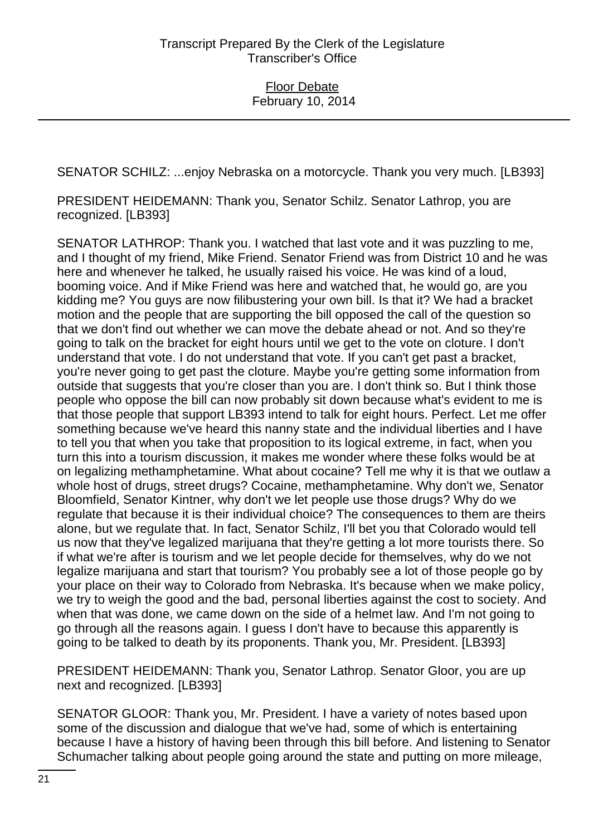SENATOR SCHILZ: ...enjoy Nebraska on a motorcycle. Thank you very much. [LB393]

PRESIDENT HEIDEMANN: Thank you, Senator Schilz. Senator Lathrop, you are recognized. [LB393]

SENATOR LATHROP: Thank you. I watched that last vote and it was puzzling to me, and I thought of my friend, Mike Friend. Senator Friend was from District 10 and he was here and whenever he talked, he usually raised his voice. He was kind of a loud, booming voice. And if Mike Friend was here and watched that, he would go, are you kidding me? You guys are now filibustering your own bill. Is that it? We had a bracket motion and the people that are supporting the bill opposed the call of the question so that we don't find out whether we can move the debate ahead or not. And so they're going to talk on the bracket for eight hours until we get to the vote on cloture. I don't understand that vote. I do not understand that vote. If you can't get past a bracket, you're never going to get past the cloture. Maybe you're getting some information from outside that suggests that you're closer than you are. I don't think so. But I think those people who oppose the bill can now probably sit down because what's evident to me is that those people that support LB393 intend to talk for eight hours. Perfect. Let me offer something because we've heard this nanny state and the individual liberties and I have to tell you that when you take that proposition to its logical extreme, in fact, when you turn this into a tourism discussion, it makes me wonder where these folks would be at on legalizing methamphetamine. What about cocaine? Tell me why it is that we outlaw a whole host of drugs, street drugs? Cocaine, methamphetamine. Why don't we, Senator Bloomfield, Senator Kintner, why don't we let people use those drugs? Why do we regulate that because it is their individual choice? The consequences to them are theirs alone, but we regulate that. In fact, Senator Schilz, I'll bet you that Colorado would tell us now that they've legalized marijuana that they're getting a lot more tourists there. So if what we're after is tourism and we let people decide for themselves, why do we not legalize marijuana and start that tourism? You probably see a lot of those people go by your place on their way to Colorado from Nebraska. It's because when we make policy, we try to weigh the good and the bad, personal liberties against the cost to society. And when that was done, we came down on the side of a helmet law. And I'm not going to go through all the reasons again. I guess I don't have to because this apparently is going to be talked to death by its proponents. Thank you, Mr. President. [LB393]

PRESIDENT HEIDEMANN: Thank you, Senator Lathrop. Senator Gloor, you are up next and recognized. [LB393]

SENATOR GLOOR: Thank you, Mr. President. I have a variety of notes based upon some of the discussion and dialogue that we've had, some of which is entertaining because I have a history of having been through this bill before. And listening to Senator Schumacher talking about people going around the state and putting on more mileage,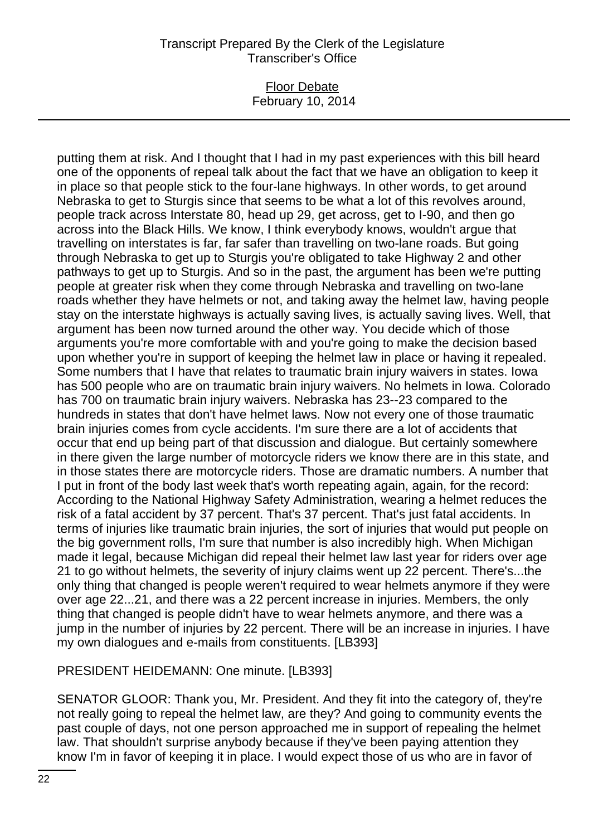### Floor Debate February 10, 2014

putting them at risk. And I thought that I had in my past experiences with this bill heard one of the opponents of repeal talk about the fact that we have an obligation to keep it in place so that people stick to the four-lane highways. In other words, to get around Nebraska to get to Sturgis since that seems to be what a lot of this revolves around, people track across Interstate 80, head up 29, get across, get to I-90, and then go across into the Black Hills. We know, I think everybody knows, wouldn't argue that travelling on interstates is far, far safer than travelling on two-lane roads. But going through Nebraska to get up to Sturgis you're obligated to take Highway 2 and other pathways to get up to Sturgis. And so in the past, the argument has been we're putting people at greater risk when they come through Nebraska and travelling on two-lane roads whether they have helmets or not, and taking away the helmet law, having people stay on the interstate highways is actually saving lives, is actually saving lives. Well, that argument has been now turned around the other way. You decide which of those arguments you're more comfortable with and you're going to make the decision based upon whether you're in support of keeping the helmet law in place or having it repealed. Some numbers that I have that relates to traumatic brain injury waivers in states. Iowa has 500 people who are on traumatic brain injury waivers. No helmets in Iowa. Colorado has 700 on traumatic brain injury waivers. Nebraska has 23--23 compared to the hundreds in states that don't have helmet laws. Now not every one of those traumatic brain injuries comes from cycle accidents. I'm sure there are a lot of accidents that occur that end up being part of that discussion and dialogue. But certainly somewhere in there given the large number of motorcycle riders we know there are in this state, and in those states there are motorcycle riders. Those are dramatic numbers. A number that I put in front of the body last week that's worth repeating again, again, for the record: According to the National Highway Safety Administration, wearing a helmet reduces the risk of a fatal accident by 37 percent. That's 37 percent. That's just fatal accidents. In terms of injuries like traumatic brain injuries, the sort of injuries that would put people on the big government rolls, I'm sure that number is also incredibly high. When Michigan made it legal, because Michigan did repeal their helmet law last year for riders over age 21 to go without helmets, the severity of injury claims went up 22 percent. There's...the only thing that changed is people weren't required to wear helmets anymore if they were over age 22...21, and there was a 22 percent increase in injuries. Members, the only thing that changed is people didn't have to wear helmets anymore, and there was a jump in the number of injuries by 22 percent. There will be an increase in injuries. I have my own dialogues and e-mails from constituents. [LB393]

PRESIDENT HEIDEMANN: One minute. [LB393]

SENATOR GLOOR: Thank you, Mr. President. And they fit into the category of, they're not really going to repeal the helmet law, are they? And going to community events the past couple of days, not one person approached me in support of repealing the helmet law. That shouldn't surprise anybody because if they've been paying attention they know I'm in favor of keeping it in place. I would expect those of us who are in favor of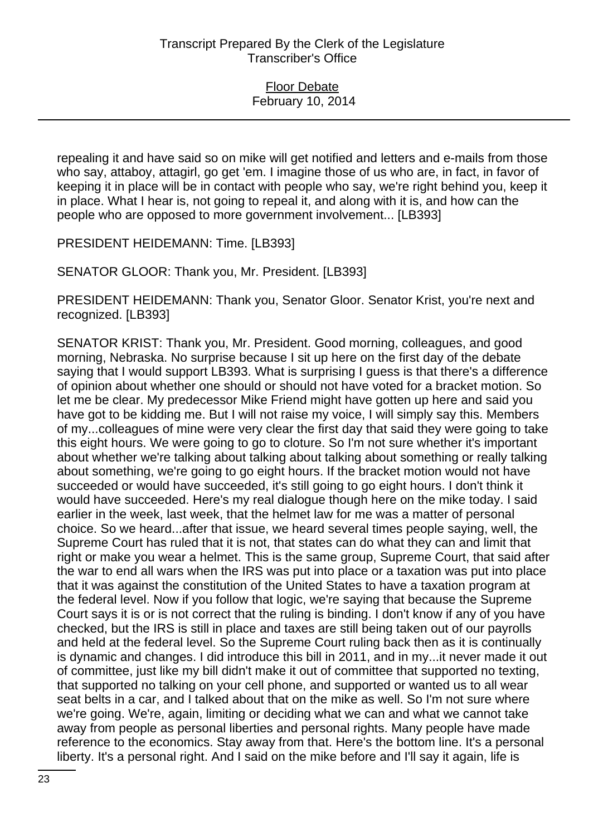repealing it and have said so on mike will get notified and letters and e-mails from those who say, attaboy, attagirl, go get 'em. I imagine those of us who are, in fact, in favor of keeping it in place will be in contact with people who say, we're right behind you, keep it in place. What I hear is, not going to repeal it, and along with it is, and how can the people who are opposed to more government involvement... [LB393]

PRESIDENT HEIDEMANN: Time. [LB393]

SENATOR GLOOR: Thank you, Mr. President. [LB393]

PRESIDENT HEIDEMANN: Thank you, Senator Gloor. Senator Krist, you're next and recognized. [LB393]

SENATOR KRIST: Thank you, Mr. President. Good morning, colleagues, and good morning, Nebraska. No surprise because I sit up here on the first day of the debate saying that I would support LB393. What is surprising I guess is that there's a difference of opinion about whether one should or should not have voted for a bracket motion. So let me be clear. My predecessor Mike Friend might have gotten up here and said you have got to be kidding me. But I will not raise my voice, I will simply say this. Members of my...colleagues of mine were very clear the first day that said they were going to take this eight hours. We were going to go to cloture. So I'm not sure whether it's important about whether we're talking about talking about talking about something or really talking about something, we're going to go eight hours. If the bracket motion would not have succeeded or would have succeeded, it's still going to go eight hours. I don't think it would have succeeded. Here's my real dialogue though here on the mike today. I said earlier in the week, last week, that the helmet law for me was a matter of personal choice. So we heard...after that issue, we heard several times people saying, well, the Supreme Court has ruled that it is not, that states can do what they can and limit that right or make you wear a helmet. This is the same group, Supreme Court, that said after the war to end all wars when the IRS was put into place or a taxation was put into place that it was against the constitution of the United States to have a taxation program at the federal level. Now if you follow that logic, we're saying that because the Supreme Court says it is or is not correct that the ruling is binding. I don't know if any of you have checked, but the IRS is still in place and taxes are still being taken out of our payrolls and held at the federal level. So the Supreme Court ruling back then as it is continually is dynamic and changes. I did introduce this bill in 2011, and in my...it never made it out of committee, just like my bill didn't make it out of committee that supported no texting, that supported no talking on your cell phone, and supported or wanted us to all wear seat belts in a car, and I talked about that on the mike as well. So I'm not sure where we're going. We're, again, limiting or deciding what we can and what we cannot take away from people as personal liberties and personal rights. Many people have made reference to the economics. Stay away from that. Here's the bottom line. It's a personal liberty. It's a personal right. And I said on the mike before and I'll say it again, life is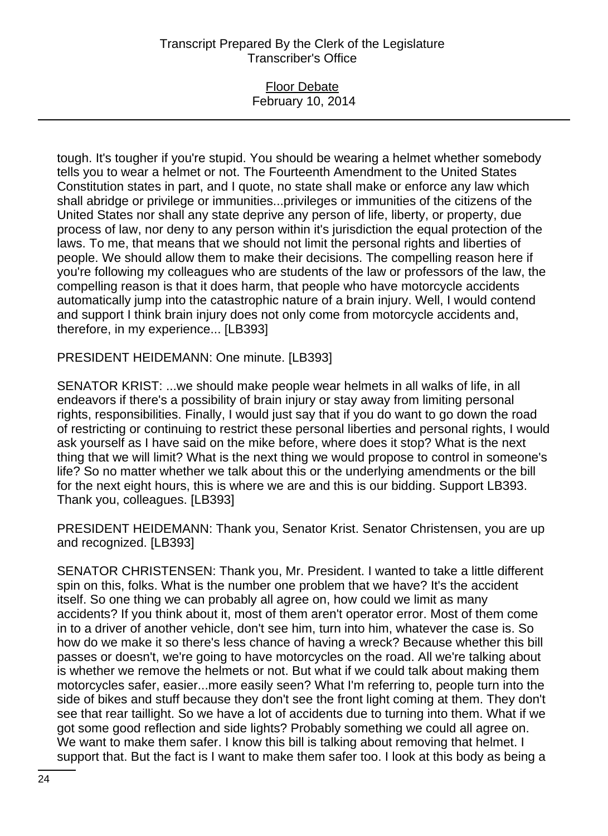### Floor Debate February 10, 2014

tough. It's tougher if you're stupid. You should be wearing a helmet whether somebody tells you to wear a helmet or not. The Fourteenth Amendment to the United States Constitution states in part, and I quote, no state shall make or enforce any law which shall abridge or privilege or immunities...privileges or immunities of the citizens of the United States nor shall any state deprive any person of life, liberty, or property, due process of law, nor deny to any person within it's jurisdiction the equal protection of the laws. To me, that means that we should not limit the personal rights and liberties of people. We should allow them to make their decisions. The compelling reason here if you're following my colleagues who are students of the law or professors of the law, the compelling reason is that it does harm, that people who have motorcycle accidents automatically jump into the catastrophic nature of a brain injury. Well, I would contend and support I think brain injury does not only come from motorcycle accidents and, therefore, in my experience... [LB393]

PRESIDENT HEIDEMANN: One minute. [LB393]

SENATOR KRIST: ...we should make people wear helmets in all walks of life, in all endeavors if there's a possibility of brain injury or stay away from limiting personal rights, responsibilities. Finally, I would just say that if you do want to go down the road of restricting or continuing to restrict these personal liberties and personal rights, I would ask yourself as I have said on the mike before, where does it stop? What is the next thing that we will limit? What is the next thing we would propose to control in someone's life? So no matter whether we talk about this or the underlying amendments or the bill for the next eight hours, this is where we are and this is our bidding. Support LB393. Thank you, colleagues. [LB393]

PRESIDENT HEIDEMANN: Thank you, Senator Krist. Senator Christensen, you are up and recognized. [LB393]

SENATOR CHRISTENSEN: Thank you, Mr. President. I wanted to take a little different spin on this, folks. What is the number one problem that we have? It's the accident itself. So one thing we can probably all agree on, how could we limit as many accidents? If you think about it, most of them aren't operator error. Most of them come in to a driver of another vehicle, don't see him, turn into him, whatever the case is. So how do we make it so there's less chance of having a wreck? Because whether this bill passes or doesn't, we're going to have motorcycles on the road. All we're talking about is whether we remove the helmets or not. But what if we could talk about making them motorcycles safer, easier...more easily seen? What I'm referring to, people turn into the side of bikes and stuff because they don't see the front light coming at them. They don't see that rear taillight. So we have a lot of accidents due to turning into them. What if we got some good reflection and side lights? Probably something we could all agree on. We want to make them safer. I know this bill is talking about removing that helmet. I support that. But the fact is I want to make them safer too. I look at this body as being a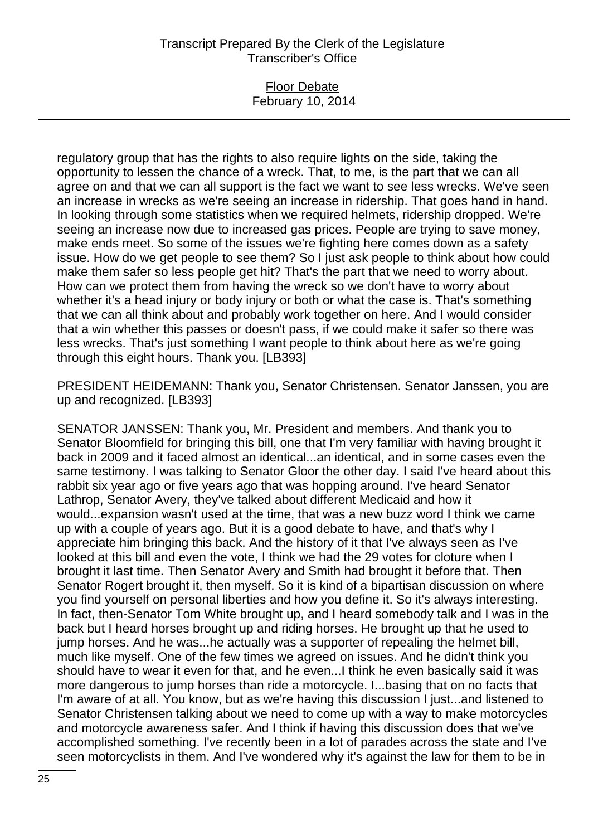### Floor Debate February 10, 2014

regulatory group that has the rights to also require lights on the side, taking the opportunity to lessen the chance of a wreck. That, to me, is the part that we can all agree on and that we can all support is the fact we want to see less wrecks. We've seen an increase in wrecks as we're seeing an increase in ridership. That goes hand in hand. In looking through some statistics when we required helmets, ridership dropped. We're seeing an increase now due to increased gas prices. People are trying to save money, make ends meet. So some of the issues we're fighting here comes down as a safety issue. How do we get people to see them? So I just ask people to think about how could make them safer so less people get hit? That's the part that we need to worry about. How can we protect them from having the wreck so we don't have to worry about whether it's a head injury or body injury or both or what the case is. That's something that we can all think about and probably work together on here. And I would consider that a win whether this passes or doesn't pass, if we could make it safer so there was less wrecks. That's just something I want people to think about here as we're going through this eight hours. Thank you. [LB393]

PRESIDENT HEIDEMANN: Thank you, Senator Christensen. Senator Janssen, you are up and recognized. [LB393]

SENATOR JANSSEN: Thank you, Mr. President and members. And thank you to Senator Bloomfield for bringing this bill, one that I'm very familiar with having brought it back in 2009 and it faced almost an identical...an identical, and in some cases even the same testimony. I was talking to Senator Gloor the other day. I said I've heard about this rabbit six year ago or five years ago that was hopping around. I've heard Senator Lathrop, Senator Avery, they've talked about different Medicaid and how it would...expansion wasn't used at the time, that was a new buzz word I think we came up with a couple of years ago. But it is a good debate to have, and that's why I appreciate him bringing this back. And the history of it that I've always seen as I've looked at this bill and even the vote, I think we had the 29 votes for cloture when I brought it last time. Then Senator Avery and Smith had brought it before that. Then Senator Rogert brought it, then myself. So it is kind of a bipartisan discussion on where you find yourself on personal liberties and how you define it. So it's always interesting. In fact, then-Senator Tom White brought up, and I heard somebody talk and I was in the back but I heard horses brought up and riding horses. He brought up that he used to jump horses. And he was...he actually was a supporter of repealing the helmet bill, much like myself. One of the few times we agreed on issues. And he didn't think you should have to wear it even for that, and he even...I think he even basically said it was more dangerous to jump horses than ride a motorcycle. I...basing that on no facts that I'm aware of at all. You know, but as we're having this discussion I just...and listened to Senator Christensen talking about we need to come up with a way to make motorcycles and motorcycle awareness safer. And I think if having this discussion does that we've accomplished something. I've recently been in a lot of parades across the state and I've seen motorcyclists in them. And I've wondered why it's against the law for them to be in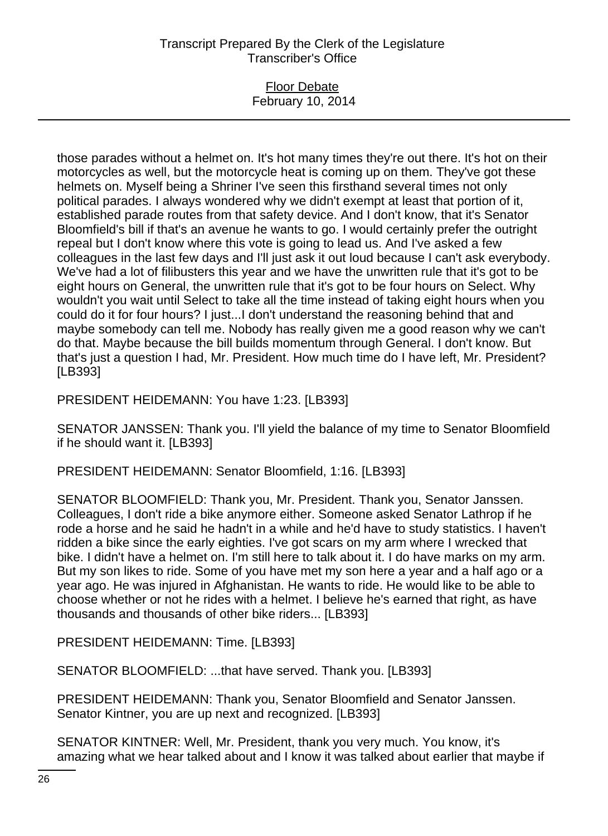### Floor Debate February 10, 2014

those parades without a helmet on. It's hot many times they're out there. It's hot on their motorcycles as well, but the motorcycle heat is coming up on them. They've got these helmets on. Myself being a Shriner I've seen this firsthand several times not only political parades. I always wondered why we didn't exempt at least that portion of it, established parade routes from that safety device. And I don't know, that it's Senator Bloomfield's bill if that's an avenue he wants to go. I would certainly prefer the outright repeal but I don't know where this vote is going to lead us. And I've asked a few colleagues in the last few days and I'll just ask it out loud because I can't ask everybody. We've had a lot of filibusters this year and we have the unwritten rule that it's got to be eight hours on General, the unwritten rule that it's got to be four hours on Select. Why wouldn't you wait until Select to take all the time instead of taking eight hours when you could do it for four hours? I just...I don't understand the reasoning behind that and maybe somebody can tell me. Nobody has really given me a good reason why we can't do that. Maybe because the bill builds momentum through General. I don't know. But that's just a question I had, Mr. President. How much time do I have left, Mr. President? [LB393]

PRESIDENT HEIDEMANN: You have 1:23. [LB393]

SENATOR JANSSEN: Thank you. I'll yield the balance of my time to Senator Bloomfield if he should want it. [LB393]

PRESIDENT HEIDEMANN: Senator Bloomfield, 1:16. [LB393]

SENATOR BLOOMFIELD: Thank you, Mr. President. Thank you, Senator Janssen. Colleagues, I don't ride a bike anymore either. Someone asked Senator Lathrop if he rode a horse and he said he hadn't in a while and he'd have to study statistics. I haven't ridden a bike since the early eighties. I've got scars on my arm where I wrecked that bike. I didn't have a helmet on. I'm still here to talk about it. I do have marks on my arm. But my son likes to ride. Some of you have met my son here a year and a half ago or a year ago. He was injured in Afghanistan. He wants to ride. He would like to be able to choose whether or not he rides with a helmet. I believe he's earned that right, as have thousands and thousands of other bike riders... [LB393]

PRESIDENT HEIDEMANN: Time. [LB393]

SENATOR BLOOMFIELD: ...that have served. Thank you. [LB393]

PRESIDENT HEIDEMANN: Thank you, Senator Bloomfield and Senator Janssen. Senator Kintner, you are up next and recognized. [LB393]

SENATOR KINTNER: Well, Mr. President, thank you very much. You know, it's amazing what we hear talked about and I know it was talked about earlier that maybe if